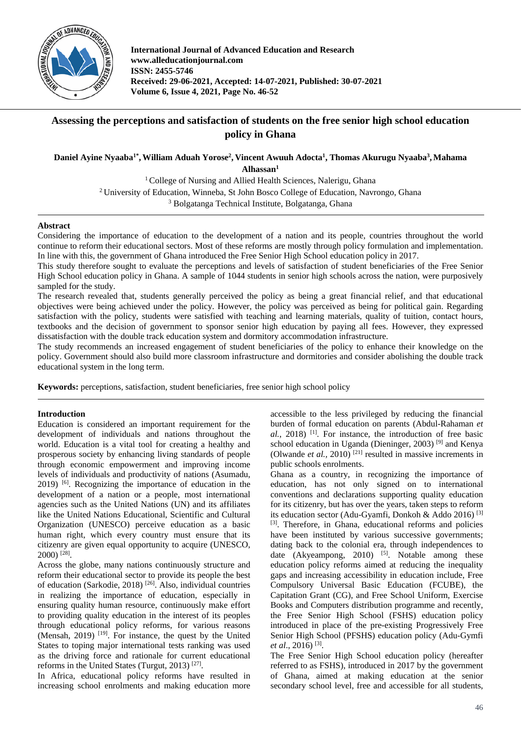

**International Journal of Advanced Education and Research www.alleducationjournal.com ISSN: 2455-5746 Received: 29-06-2021, Accepted: 14-07-2021, Published: 30-07-2021 Volume 6, Issue 4, 2021, Page No. 46-52**

# **Assessing the perceptions and satisfaction of students on the free senior high school education policy in Ghana**

**Daniel Ayine Nyaaba1\* ,William Aduah Yorose2 , Vincent Awuuh Adocta1 , Thomas Akurugu Nyaaba3 , Mahama Alhassan1**

> <sup>1</sup> College of Nursing and Allied Health Sciences, Nalerigu, Ghana 2 University of Education, Winneba, St John Bosco College of Education, Navrongo, Ghana <sup>3</sup> Bolgatanga Technical Institute, Bolgatanga, Ghana

#### **Abstract**

Considering the importance of education to the development of a nation and its people, countries throughout the world continue to reform their educational sectors. Most of these reforms are mostly through policy formulation and implementation. In line with this, the government of Ghana introduced the Free Senior High School education policy in 2017.

This study therefore sought to evaluate the perceptions and levels of satisfaction of student beneficiaries of the Free Senior High School education policy in Ghana. A sample of 1044 students in senior high schools across the nation, were purposively sampled for the study.

The research revealed that, students generally perceived the policy as being a great financial relief, and that educational objectives were being achieved under the policy. However, the policy was perceived as being for political gain. Regarding satisfaction with the policy, students were satisfied with teaching and learning materials, quality of tuition, contact hours, textbooks and the decision of government to sponsor senior high education by paying all fees. However, they expressed dissatisfaction with the double track education system and dormitory accommodation infrastructure.

The study recommends an increased engagement of student beneficiaries of the policy to enhance their knowledge on the policy. Government should also build more classroom infrastructure and dormitories and consider abolishing the double track educational system in the long term.

**Keywords:** perceptions, satisfaction, student beneficiaries, free senior high school policy

### **Introduction**

Education is considered an important requirement for the development of individuals and nations throughout the world. Education is a vital tool for creating a healthy and prosperous society by enhancing living standards of people through economic empowerment and improving income levels of individuals and productivity of nations (Asumadu, 2019) [6] . Recognizing the importance of education in the development of a nation or a people, most international agencies such as the United Nations (UN) and its affiliates like the United Nations Educational, Scientific and Cultural Organization (UNESCO) perceive education as a basic human right, which every country must ensure that its citizenry are given equal opportunity to acquire (UNESCO, 2000) [28] .

Across the globe, many nations continuously structure and reform their educational sector to provide its people the best of education (Sarkodie, 2018)<sup>[26]</sup>. Also, individual countries in realizing the importance of education, especially in ensuring quality human resource, continuously make effort to providing quality education in the interest of its peoples through educational policy reforms, for various reasons (Mensah, 2019)<sup>[19]</sup>. For instance, the quest by the United States to toping major international tests ranking was used as the driving force and rationale for current educational reforms in the United States (Turgut, 2013)<sup>[27]</sup>.

In Africa, educational policy reforms have resulted in increasing school enrolments and making education more

accessible to the less privileged by reducing the financial burden of formal education on parents (Abdul-Rahaman *et*  al., 2018)<sup>[1]</sup>. For instance, the introduction of free basic school education in Uganda (Dieninger, 2003)<sup>[9]</sup> and Kenya (Olwande *et al.*, 2010)<sup>[21]</sup> resulted in massive increments in public schools enrolments.

Ghana as a country, in recognizing the importance of education, has not only signed on to international conventions and declarations supporting quality education for its citizenry, but has over the years, taken steps to reform its education sector (Adu-Gyamfi, Donkoh & Addo 2016) [3] [3]. Therefore, in Ghana, educational reforms and policies have been instituted by various successive governments; dating back to the colonial era, through independences to date (Akyeampong, 2010)  $[5]$ . Notable among these education policy reforms aimed at reducing the inequality gaps and increasing accessibility in education include, Free Compulsory Universal Basic Education (FCUBE), the Capitation Grant (CG), and Free School Uniform, Exercise Books and Computers distribution programme and recently, the Free Senior High School (FSHS) education policy introduced in place of the pre-existing Progressively Free Senior High School (PFSHS) education policy (Adu-Gymfi *et al*., 2016) [3] .

The Free Senior High School education policy (hereafter referred to as FSHS), introduced in 2017 by the government of Ghana, aimed at making education at the senior secondary school level, free and accessible for all students,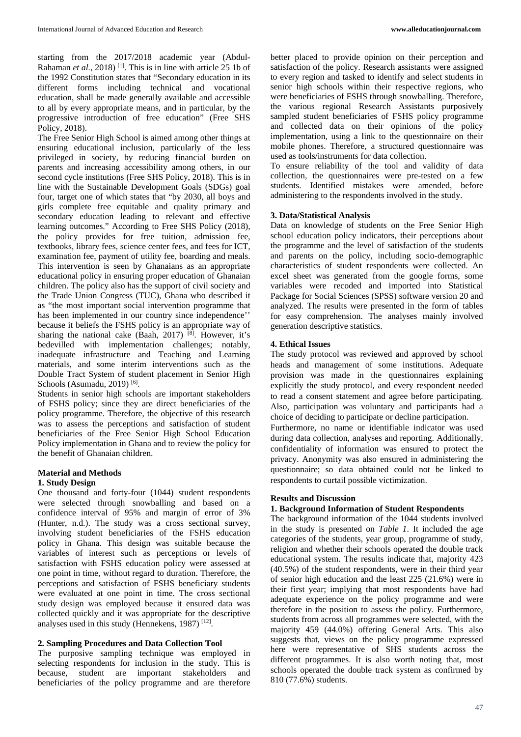starting from the 2017/2018 academic year (Abdul-Rahaman *et al.*, 2018)<sup>[1]</sup>. This is in line with article 25 1b of the 1992 Constitution states that "Secondary education in its different forms including technical and vocational education, shall be made generally available and accessible to all by every appropriate means, and in particular, by the progressive introduction of free education" (Free SHS Policy, 2018).

The Free Senior High School is aimed among other things at ensuring educational inclusion, particularly of the less privileged in society, by reducing financial burden on parents and increasing accessibility among others, in our second cycle institutions (Free SHS Policy, 2018). This is in line with the Sustainable Development Goals (SDGs) goal four, target one of which states that "by 2030, all boys and girls complete free equitable and quality primary and secondary education leading to relevant and effective learning outcomes." According to Free SHS Policy (2018), the policy provides for free tuition, admission fee, textbooks, library fees, science center fees, and fees for ICT, examination fee, payment of utility fee, boarding and meals. This intervention is seen by Ghanaians as an appropriate educational policy in ensuring proper education of Ghanaian children. The policy also has the support of civil society and the Trade Union Congress (TUC), Ghana who described it as "the most important social intervention programme that has been implemented in our country since independence'' because it beliefs the FSHS policy is an appropriate way of sharing the national cake (Baah, 2017)  $[8]$ . However, it's bedevilled with implementation challenges; notably, inadequate infrastructure and Teaching and Learning materials, and some interim interventions such as the Double Tract System of student placement in Senior High Schools (Asumadu, 2019)<sup>[6]</sup>.

Students in senior high schools are important stakeholders of FSHS policy; since they are direct beneficiaries of the policy programme. Therefore, the objective of this research was to assess the perceptions and satisfaction of student beneficiaries of the Free Senior High School Education Policy implementation in Ghana and to review the policy for the benefit of Ghanaian children.

### **Material and Methods 1. Study Design**

One thousand and forty-four (1044) student respondents were selected through snowballing and based on a confidence interval of 95% and margin of error of 3% (Hunter, n.d.). The study was a cross sectional survey, involving student beneficiaries of the FSHS education policy in Ghana. This design was suitable because the variables of interest such as perceptions or levels of satisfaction with FSHS education policy were assessed at one point in time, without regard to duration. Therefore, the perceptions and satisfaction of FSHS beneficiary students were evaluated at one point in time. The cross sectional study design was employed because it ensured data was collected quickly and it was appropriate for the descriptive analyses used in this study (Hennekens, 1987)<sup>[12]</sup>.

# **2. Sampling Procedures and Data Collection Tool**

The purposive sampling technique was employed in selecting respondents for inclusion in the study. This is because, student are important stakeholders and beneficiaries of the policy programme and are therefore

better placed to provide opinion on their perception and satisfaction of the policy. Research assistants were assigned to every region and tasked to identify and select students in senior high schools within their respective regions, who were beneficiaries of FSHS through snowballing. Therefore, the various regional Research Assistants purposively sampled student beneficiaries of FSHS policy programme and collected data on their opinions of the policy implementation, using a link to the questionnaire on their mobile phones. Therefore, a structured questionnaire was used as tools/instruments for data collection.

To ensure reliability of the tool and validity of data collection, the questionnaires were pre-tested on a few students. Identified mistakes were amended, before administering to the respondents involved in the study.

# **3. Data/Statistical Analysis**

Data on knowledge of students on the Free Senior High school education policy indicators, their perceptions about the programme and the level of satisfaction of the students and parents on the policy, including socio-demographic characteristics of student respondents were collected. An excel sheet was generated from the google forms, some variables were recoded and imported into Statistical Package for Social Sciences (SPSS) software version 20 and analyzed. The results were presented in the form of tables for easy comprehension. The analyses mainly involved generation descriptive statistics.

# **4. Ethical Issues**

The study protocol was reviewed and approved by school heads and management of some institutions. Adequate provision was made in the questionnaires explaining explicitly the study protocol, and every respondent needed to read a consent statement and agree before participating. Also, participation was voluntary and participants had a choice of deciding to participate or decline participation.

Furthermore, no name or identifiable indicator was used during data collection, analyses and reporting. Additionally, confidentiality of information was ensured to protect the privacy. Anonymity was also ensured in administering the questionnaire; so data obtained could not be linked to respondents to curtail possible victimization.

### **Results and Discussion**

### **1. Background Information of Student Respondents**

The background information of the 1044 students involved in the study is presented on *Table 1*. It included the age categories of the students, year group, programme of study, religion and whether their schools operated the double track educational system. The results indicate that, majority 423 (40.5%) of the student respondents, were in their third year of senior high education and the least 225 (21.6%) were in their first year; implying that most respondents have had adequate experience on the policy programme and were therefore in the position to assess the policy. Furthermore, students from across all programmes were selected, with the majority 459 (44.0%) offering General Arts. This also suggests that, views on the policy programme expressed here were representative of SHS students across the different programmes. It is also worth noting that, most schools operated the double track system as confirmed by 810 (77.6%) students.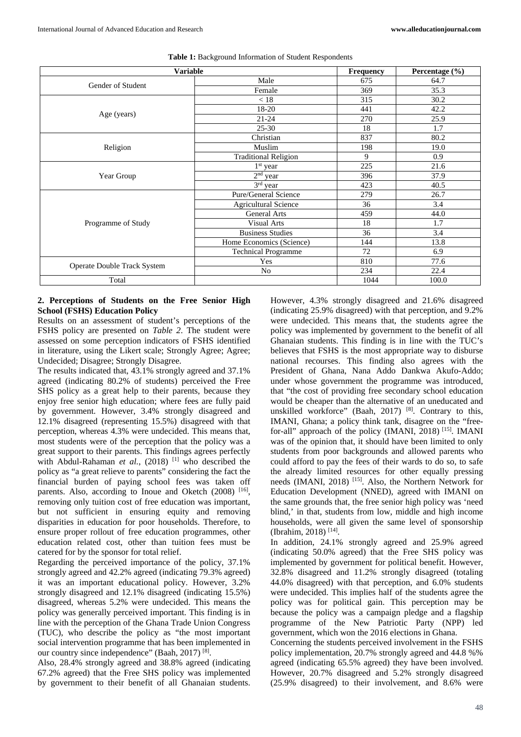| <b>Variable</b>             |                             | <b>Frequency</b> | Percentage $(\% )$ |
|-----------------------------|-----------------------------|------------------|--------------------|
| Gender of Student           | Male                        | 675              | 64.7               |
|                             | Female                      | 369              | 35.3               |
|                             | < 18                        | 315              | 30.2               |
|                             | 18-20                       | 441              | 42.2               |
| Age (years)                 | $21 - 24$                   | 270              | 25.9               |
|                             | $25 - 30$                   | 18               | 1.7                |
|                             | Christian                   | 837              | 80.2               |
| Religion                    | Muslim                      | 198              | 19.0               |
|                             | <b>Traditional Religion</b> | 9                | 0.9                |
|                             | $1st$ year                  | 225              | 21.6               |
| Year Group                  | $2nd$ year                  | 396              | 37.9               |
|                             | 3rd year                    | 423              | 40.5               |
|                             | Pure/General Science        | 279              | 26.7               |
|                             | <b>Agricultural Science</b> | 36               | 3.4                |
|                             | <b>General Arts</b>         | 459              | 44.0               |
| Programme of Study          | <b>Visual Arts</b>          | 18               | 1.7                |
|                             | <b>Business Studies</b>     | 36               | 3.4                |
|                             | Home Economics (Science)    | 144              | 13.8               |
|                             | <b>Technical Programme</b>  | 72               | 6.9                |
|                             | Yes                         | 810<br>77.6      |                    |
| Operate Double Track System | N <sub>o</sub>              | 234              | 22.4               |
| Total                       |                             | 1044             | 100.0              |

**Table 1:** Background Information of Student Respondents

#### **2. Perceptions of Students on the Free Senior High School (FSHS) Education Policy**

Results on an assessment of student's perceptions of the FSHS policy are presented on *Table 2*. The student were assessed on some perception indicators of FSHS identified in literature, using the Likert scale; Strongly Agree; Agree; Undecided; Disagree; Strongly Disagree.

The results indicated that, 43.1% strongly agreed and 37.1% agreed (indicating 80.2% of students) perceived the Free SHS policy as a great help to their parents, because they enjoy free senior high education; where fees are fully paid by government. However, 3.4% strongly disagreed and 12.1% disagreed (representing 15.5%) disagreed with that perception, whereas 4.3% were undecided. This means that, most students were of the perception that the policy was a great support to their parents. This findings agrees perfectly with Abdul-Rahaman *et al.*, (2018)<sup>[1]</sup> who described the policy as "a great relieve to parents" considering the fact the financial burden of paying school fees was taken off parents. Also, according to Inoue and Oketch (2008) [16], removing only tuition cost of free education was important, but not sufficient in ensuring equity and removing disparities in education for poor households. Therefore, to ensure proper rollout of free education programmes, other education related cost, other than tuition fees must be catered for by the sponsor for total relief.

Regarding the perceived importance of the policy, 37.1% strongly agreed and 42.2% agreed (indicating 79.3% agreed) it was an important educational policy. However, 3.2% strongly disagreed and 12.1% disagreed (indicating 15.5%) disagreed, whereas 5.2% were undecided. This means the policy was generally perceived important. This finding is in line with the perception of the Ghana Trade Union Congress (TUC), who describe the policy as "the most important social intervention programme that has been implemented in our country since independence" (Baah, 2017)<sup>[8]</sup>.

Also, 28.4% strongly agreed and 38.8% agreed (indicating 67.2% agreed) that the Free SHS policy was implemented by government to their benefit of all Ghanaian students.

However, 4.3% strongly disagreed and 21.6% disagreed (indicating 25.9% disagreed) with that perception, and 9.2% were undecided. This means that, the students agree the policy was implemented by government to the benefit of all Ghanaian students. This finding is in line with the TUC's believes that FSHS is the most appropriate way to disburse national recourses. This finding also agrees with the President of Ghana, Nana Addo Dankwa Akufo-Addo; under whose government the programme was introduced, that "the cost of providing free secondary school education would be cheaper than the alternative of an uneducated and unskilled workforce" (Baah, 2017)<sup>[8]</sup>. Contrary to this, IMANI, Ghana; a policy think tank, disagree on the "freefor-all" approach of the policy (IMANI, 2018)<sup>[15]</sup>. IMANI was of the opinion that, it should have been limited to only students from poor backgrounds and allowed parents who could afford to pay the fees of their wards to do so, to safe the already limited resources for other equally pressing needs (IMANI, 2018)<sup>[15]</sup>. Also, the Northern Network for Education Development (NNED), agreed with IMANI on the same grounds that, the free senior high policy was 'need blind,' in that, students from low, middle and high income households, were all given the same level of sponsorship (Ibrahim, 2018) [14] .

In addition, 24.1% strongly agreed and 25.9% agreed (indicating 50.0% agreed) that the Free SHS policy was implemented by government for political benefit. However, 32.8% disagreed and 11.2% strongly disagreed (totaling 44.0% disagreed) with that perception, and 6.0% students were undecided. This implies half of the students agree the policy was for political gain. This perception may be because the policy was a campaign pledge and a flagship programme of the New Patriotic Party (NPP) led government, which won the 2016 elections in Ghana.

Concerning the students perceived involvement in the FSHS policy implementation, 20.7% strongly agreed and 44.8 %% agreed (indicating 65.5% agreed) they have been involved. However, 20.7% disagreed and 5.2% strongly disagreed (25.9% disagreed) to their involvement, and 8.6% were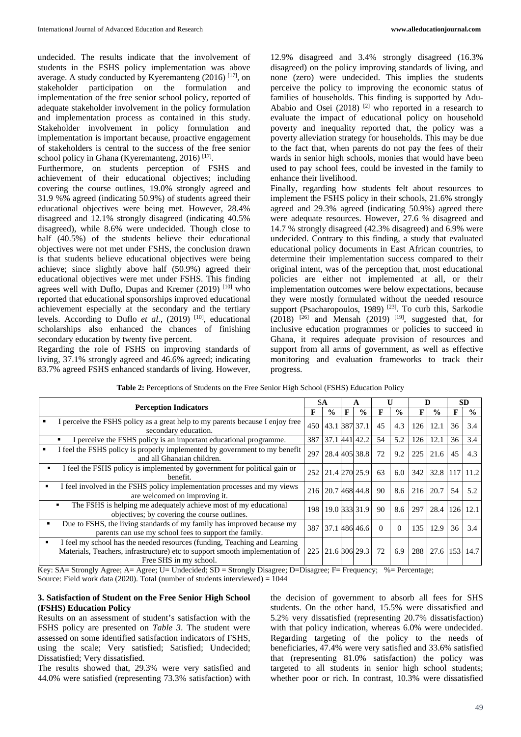undecided. The results indicate that the involvement of students in the FSHS policy implementation was above average. A study conducted by Kyeremanteng (2016)<sup>[17]</sup>, on stakeholder participation on the formulation and implementation of the free senior school policy, reported of adequate stakeholder involvement in the policy formulation and implementation process as contained in this study. Stakeholder involvement in policy formulation and implementation is important because, proactive engagement of stakeholders is central to the success of the free senior school policy in Ghana (Kyeremanteng, 2016)<sup>[17]</sup>.

Furthermore, on students perception of FSHS and achievement of their educational objectives; including covering the course outlines, 19.0% strongly agreed and 31.9 %% agreed (indicating 50.9%) of students agreed their educational objectives were being met. However, 28.4% disagreed and 12.1% strongly disagreed (indicating 40.5% disagreed), while 8.6% were undecided. Though close to half (40.5%) of the students believe their educational objectives were not met under FSHS, the conclusion drawn is that students believe educational objectives were being achieve; since slightly above half (50.9%) agreed their educational objectives were met under FSHS. This finding agrees well with Duflo, Dupas and Kremer  $(2019)$ <sup>[10]</sup> who reported that educational sponsorships improved educational achievement especially at the secondary and the tertiary levels. According to Duflo et al., (2019)<sup>[10]</sup>, educational scholarships also enhanced the chances of finishing secondary education by twenty five percent.

Regarding the role of FSHS on improving standards of living, 37.1% strongly agreed and 46.6% agreed; indicating 83.7% agreed FSHS enhanced standards of living. However,

12.9% disagreed and 3.4% strongly disagreed (16.3% disagreed) on the policy improving standards of living, and none (zero) were undecided. This implies the students perceive the policy to improving the economic status of families of households. This finding is supported by Adu-Ababio and Osei  $(2018)$ <sup>[2]</sup> who reported in a research to evaluate the impact of educational policy on household poverty and inequality reported that, the policy was a poverty alleviation strategy for households. This may be due to the fact that, when parents do not pay the fees of their wards in senior high schools, monies that would have been used to pay school fees, could be invested in the family to enhance their livelihood.

Finally, regarding how students felt about resources to implement the FSHS policy in their schools, 21.6% strongly agreed and 29.3% agreed (indicating 50.9%) agreed there were adequate resources. However, 27.6 % disagreed and 14.7 % strongly disagreed (42.3% disagreed) and 6.9% were undecided. Contrary to this finding, a study that evaluated educational policy documents in East African countries, to determine their implementation success compared to their original intent, was of the perception that, most educational policies are either not implemented at all, or their implementation outcomes were below expectations, because they were mostly formulated without the needed resource support (Psacharopoulos, 1989)<sup>[23]</sup>. To curb this, Sarkodie  $(2018)$  <sup>[26]</sup> and Mensah (2019)<sup>[19]</sup>, suggested that, for inclusive education programmes or policies to succeed in Ghana, it requires adequate provision of resources and support from all arms of government, as well as effective monitoring and evaluation frameworks to track their progress.

|   |                                                                                                                                                                                     | <b>SA</b> |               | A |               | U        |               | D   |               | SD  |               |
|---|-------------------------------------------------------------------------------------------------------------------------------------------------------------------------------------|-----------|---------------|---|---------------|----------|---------------|-----|---------------|-----|---------------|
|   | <b>Perception Indicators</b>                                                                                                                                                        |           | $\frac{0}{0}$ | F | $\frac{6}{6}$ | F        | $\frac{0}{0}$ | F   | $\frac{0}{0}$ | F   | $\frac{6}{6}$ |
|   | I perceive the FSHS policy as a great help to my parents because I enjoy free<br>secondary education.                                                                               | 450       | 43.1 387 37.1 |   |               | 45       | 4.3           | 126 | 12.1          | 36  | 3.4           |
|   | I perceive the FSHS policy is an important educational programme.<br>٠                                                                                                              | 387       | 37.1          |   | 441 42.2      | 54       | 5.2           | 126 | 12.1          | 36  | 3.4           |
|   | I feel the FSHS policy is properly implemented by government to my benefit<br>and all Ghanaian children.                                                                            | 297       |               |   | 28.4 405 38.8 | 72       | 9.2           | 225 | 21.6          | 45  | 4.3           |
| ٠ | I feel the FSHS policy is implemented by government for political gain or<br>benefit.                                                                                               | 252       | 21.4 270 25.9 |   |               | 63       | 6.0           | 342 | 32.8 117 11.2 |     |               |
| ٠ | I feel involved in the FSHS policy implementation processes and my views<br>are welcomed on improving it.                                                                           | 216       |               |   | 20.7 468 44.8 | 90       | 8.6           | 216 | 20.7          | 54  | 5.2           |
|   | The FSHS is helping me adequately achieve most of my educational<br>٠<br>objectives; by covering the course outlines.                                                               | 198       |               |   | 19.0 333 31.9 | 90       | 8.6           | 297 | 28.4          | 126 | 12.1          |
|   | Due to FSHS, the living standards of my family has improved because my<br>parents can use my school fees to support the family.                                                     | 387       |               |   | 37.1 486 46.6 | $\Omega$ | $\Omega$      | 135 | 12.9          | 36  | 3.4           |
| ٠ | I feel my school has the needed resources (funding, Teaching and Learning<br>Materials, Teachers, infrastructure) etc to support smooth implementation of<br>Free SHS in my school. | 225       | 21.6 306 29.3 |   |               | 72       | 6.9           | 288 | 27.6          |     | 153 14.7      |

**Table 2:** Perceptions of Students on the Free Senior High School (FSHS) Education Policy

Key: SA= Strongly Agree; A= Agree; U= Undecided; SD = Strongly Disagree; D=Disagree; F= Frequency; %= Percentage;

Source: Field work data (2020). Total (number of students interviewed) =  $1044$ 

### **3. Satisfaction of Student on the Free Senior High School (FSHS) Education Policy**

Results on an assessment of student's satisfaction with the FSHS policy are presented on *Table 3*. The student were assessed on some identified satisfaction indicators of FSHS, using the scale; Very satisfied; Satisfied; Undecided; Dissatisfied; Very dissatisfied.

The results showed that, 29.3% were very satisfied and 44.0% were satisfied (representing 73.3% satisfaction) with

the decision of government to absorb all fees for SHS students. On the other hand, 15.5% were dissatisfied and 5.2% very dissatisfied (representing 20.7% dissatisfaction) with that policy indication, whereas 6.0% were undecided. Regarding targeting of the policy to the needs of beneficiaries, 47.4% were very satisfied and 33.6% satisfied that (representing 81.0% satisfaction) the policy was targeted to all students in senior high school students; whether poor or rich. In contrast, 10.3% were dissatisfied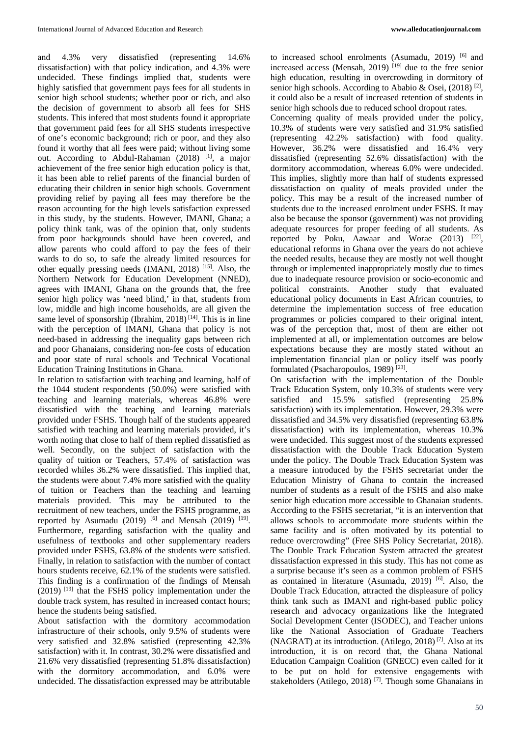and 4.3% very dissatisfied (representing 14.6% dissatisfaction) with that policy indication, and 4.3% were undecided. These findings implied that, students were highly satisfied that government pays fees for all students in senior high school students; whether poor or rich, and also the decision of government to absorb all fees for SHS students. This infered that most students found it appropriate that government paid fees for all SHS students irrespective of one's economic background; rich or poor, and they also found it worthy that all fees were paid; without living some out. According to Abdul-Rahaman (2018) <sup>[1]</sup>, a major achievement of the free senior high education policy is that, it has been able to relief parents of the financial burden of educating their children in senior high schools. Government providing relief by paying all fees may therefore be the reason accounting for the high levels satisfaction expressed in this study, by the students. However, IMANI, Ghana; a policy think tank, was of the opinion that, only students from poor backgrounds should have been covered, and allow parents who could afford to pay the fees of their wards to do so, to safe the already limited resources for other equally pressing needs (IMANI, 2018)<sup>[15]</sup>. Also, the Northern Network for Education Development (NNED), agrees with IMANI, Ghana on the grounds that, the free senior high policy was 'need blind,' in that, students from low, middle and high income households, are all given the same level of sponsorship (Ibrahim, 2018)<sup>[14]</sup>. This is in line with the perception of IMANI, Ghana that policy is not need-based in addressing the inequality gaps between rich and poor Ghanaians, considering non-fee costs of education and poor state of rural schools and Technical Vocational Education Training Institutions in Ghana.

In relation to satisfaction with teaching and learning, half of the 1044 student respondents (50.0%) were satisfied with teaching and learning materials, whereas 46.8% were dissatisfied with the teaching and learning materials provided under FSHS. Though half of the students appeared satisfied with teaching and learning materials provided, it's worth noting that close to half of them replied dissatisfied as well. Secondly, on the subject of satisfaction with the quality of tuition or Teachers, 57.4% of satisfaction was recorded whiles 36.2% were dissatisfied. This implied that, the students were about 7.4% more satisfied with the quality of tuition or Teachers than the teaching and learning materials provided. This may be attributed to the recruitment of new teachers, under the FSHS programme, as reported by Asumadu (2019)  $[6]$  and Mensah (2019)  $[19]$ . Furthermore, regarding satisfaction with the quality and usefulness of textbooks and other supplementary readers provided under FSHS, 63.8% of the students were satisfied. Finally, in relation to satisfaction with the number of contact hours students receive, 62.1% of the students were satisfied. This finding is a confirmation of the findings of Mensah (2019) [19] that the FSHS policy implementation under the double track system, has resulted in increased contact hours; hence the students being satisfied.

About satisfaction with the dormitory accommodation infrastructure of their schools, only 9.5% of students were very satisfied and 32.8% satisfied (representing 42.3% satisfaction) with it. In contrast, 30.2% were dissatisfied and 21.6% very dissatisfied (representing 51.8% dissatisfaction) with the dormitory accommodation, and 6.0% were undecided. The dissatisfaction expressed may be attributable

to increased school enrolments (Asumadu, 2019)<sup>[6]</sup> and increased access (Mensah, 2019)<sup>[19]</sup> due to the free senior high education, resulting in overcrowding in dormitory of senior high schools. According to Ababio & Osei, (2018)<sup>[2]</sup>, it could also be a result of increased retention of students in senior high schools due to reduced school dropout rates.

Concerning quality of meals provided under the policy, 10.3% of students were very satisfied and 31.9% satisfied (representing 42.2% satisfaction) with food quality. However, 36.2% were dissatisfied and 16.4% very dissatisfied (representing 52.6% dissatisfaction) with the dormitory accommodation, whereas 6.0% were undecided. This implies, slightly more than half of students expressed dissatisfaction on quality of meals provided under the policy. This may be a result of the increased number of students due to the increased enrolment under FSHS. It may also be because the sponsor (government) was not providing adequate resources for proper feeding of all students. As reported by Poku, Aawaar and Worae (2013) <sup>[22]</sup>, educational reforms in Ghana over the years do not achieve the needed results, because they are mostly not well thought through or implemented inappropriately mostly due to times due to inadequate resource provision or socio-economic and political constraints. Another study that evaluated educational policy documents in East African countries, to determine the implementation success of free education programmes or policies compared to their original intent, was of the perception that, most of them are either not implemented at all, or implementation outcomes are below expectations because they are mostly stated without an implementation financial plan or policy itself was poorly formulated (Psacharopoulos, 1989)<sup>[23]</sup>.

On satisfaction with the implementation of the Double Track Education System, only 10.3% of students were very satisfied and 15.5% satisfied (representing 25.8% satisfaction) with its implementation. However, 29.3% were dissatisfied and 34.5% very dissatisfied (representing 63.8% dissatisfaction) with its implementation, whereas 10.3% were undecided. This suggest most of the students expressed dissatisfaction with the Double Track Education System under the policy. The Double Track Education System was a measure introduced by the FSHS secretariat under the Education Ministry of Ghana to contain the increased number of students as a result of the FSHS and also make senior high education more accessible to Ghanaian students. According to the FSHS secretariat, "it is an intervention that allows schools to accommodate more students within the same facility and is often motivated by its potential to reduce overcrowding" (Free SHS Policy Secretariat, 2018). The Double Track Education System attracted the greatest dissatisfaction expressed in this study. This has not come as a surprise because it's seen as a common problem of FSHS as contained in literature (Asumadu, 2019)<sup>[6]</sup>. Also, the Double Track Education, attracted the displeasure of policy think tank such as IMANI and right-based public policy research and advocacy organizations like the Integrated Social Development Center (ISODEC), and Teacher unions like the National Association of Graduate Teachers (NAGRAT) at its introduction. (Atilego, 2018)<sup>[7]</sup>. Also at its introduction, it is on record that, the Ghana National Education Campaign Coalition (GNECC) even called for it to be put on hold for extensive engagements with stakeholders (Atilego, 2018)<sup>[7]</sup>. Though some Ghanaians in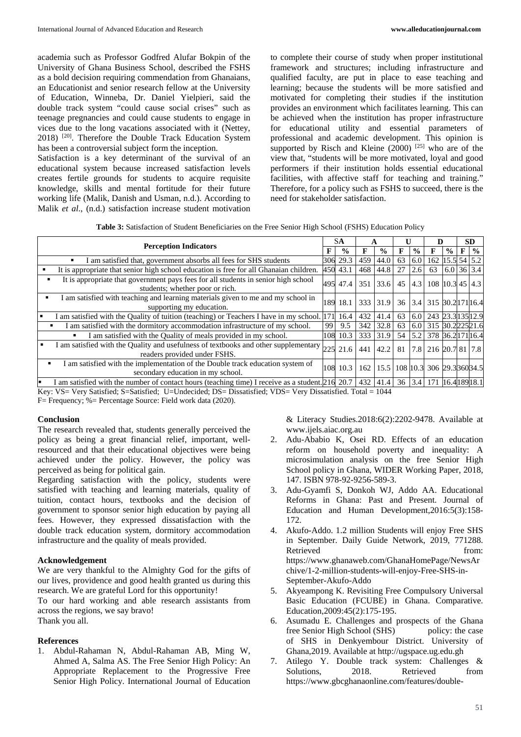academia such as Professor Godfred Alufar Bokpin of the University of Ghana Business School, described the FSHS as a bold decision requiring commendation from Ghanaians, an Educationist and senior research fellow at the University of Education, Winneba, Dr. Daniel Yielpieri, said the double track system "could cause social crises" such as teenage pregnancies and could cause students to engage in vices due to the long vacations associated with it (Nettey, 2018) [20] . Therefore the Double Track Education System has been a controversial subject form the inception.

Satisfaction is a key determinant of the survival of an educational system because increased satisfaction levels creates fertile grounds for students to acquire requisite knowledge, skills and mental fortitude for their future working life (Malik, Danish and Usman, n.d.). According to Malik *et al*., (n.d.) satisfaction increase student motivation to complete their course of study when proper institutional framework and structures; including infrastructure and qualified faculty, are put in place to ease teaching and learning; because the students will be more satisfied and motivated for completing their studies if the institution provides an environment which facilitates learning. This can be achieved when the institution has proper infrastructure for educational utility and essential parameters of professional and academic development. This opinion is supported by Risch and Kleine  $(2000)$ <sup>[25]</sup> who are of the view that, "students will be more motivated, loyal and good performers if their institution holds essential educational facilities, with affective staff for teaching and training." Therefore, for a policy such as FSHS to succeed, there is the need for stakeholder satisfaction.

**Table 3:** Satisfaction of Student Beneficiaries on the Free Senior High School (FSHS) Education Policy

| <b>Perception Indicators</b> |                                                                                                                                                    |     | SА            | А   |                                              | U  |               | D                        |               | <b>SD</b> |               |
|------------------------------|----------------------------------------------------------------------------------------------------------------------------------------------------|-----|---------------|-----|----------------------------------------------|----|---------------|--------------------------|---------------|-----------|---------------|
|                              |                                                                                                                                                    |     | $\frac{0}{0}$ |     | $\frac{0}{0}$                                |    | $\frac{6}{6}$ | F                        | $\frac{0}{0}$ | F         | $\frac{0}{0}$ |
|                              | I am satisfied that, government absorbs all fees for SHS students                                                                                  |     | 306 29.3      | 459 | 44.0                                         | 63 | 6.0           | 162 15.5 54 5.2          |               |           |               |
|                              | It is appropriate that senior high school education is free for all Ghanaian children.                                                             |     | 450 43.1      | 468 | 44.8                                         | 27 | 2.6           | 63                       | $6.0$ 36 3.4  |           |               |
|                              | It is appropriate that government pays fees for all students in senior high school<br>students; whether poor or rich.                              |     | 495 47.4      | 351 | 33.6 45                                      |    |               | 4.3 108 10.3 45 4.3      |               |           |               |
|                              | I am satisfied with teaching and learning materials given to me and my school in<br>supporting my education.                                       | 189 | 18.1          |     | 333 31.9                                     |    |               | 36 3.4 315 30.2 171 16.4 |               |           |               |
|                              | I am satisfied with the Quality of tuition (teaching) or Teachers I have in my school. [171]                                                       |     | 16.4          | 432 | 41.4                                         | 63 | 6.0           | 243 23.3 135 12.9        |               |           |               |
|                              | I am satisfied with the dormitory accommodation infrastructure of my school.                                                                       | 99  | 9.5           |     | 342 32.8                                     | 63 |               | 6.0 315 30.222521.6      |               |           |               |
|                              | I am satisfied with the Quality of meals provided in my school.<br>٠                                                                               |     | 108 10.3      |     | 333 31.9                                     | 54 | 5.2           | 378 36.2171 16.4         |               |           |               |
| $\blacksquare$               | I am satisfied with the Quality and usefulness of textbooks and other supplementary<br>readers provided under FSHS.                                | 225 | 21.6          | 441 | 42.2                                         | 81 |               | 7.8 216 20.7 81 7.8      |               |           |               |
|                              | I am satisfied with the implementation of the Double track education system of<br>secondary education in my school.                                | 108 | 10.3          | 162 | $\mid$ 15.5   108   10.3 306   29.3 360 34.5 |    |               |                          |               |           |               |
|                              | am satisfied with the number of contact hours (teaching time) I receive as a student. [216] 20.7   432   41.4   36   3.4   171   16.4   189   18.1 |     |               |     |                                              |    |               |                          |               |           |               |

Key: VS= Very Satisfied; S=Satisfied; U=Undecided; DS= Dissatisfied; VDS= Very Dissatisfied. Total = 1044

F= Frequency; %= Percentage Source: Field work data (2020).

#### **Conclusion**

The research revealed that, students generally perceived the policy as being a great financial relief, important, wellresourced and that their educational objectives were being achieved under the policy. However, the policy was perceived as being for political gain.

Regarding satisfaction with the policy, students were satisfied with teaching and learning materials, quality of tuition, contact hours, textbooks and the decision of government to sponsor senior high education by paying all fees. However, they expressed dissatisfaction with the double track education system, dormitory accommodation infrastructure and the quality of meals provided.

#### **Acknowledgement**

We are very thankful to the Almighty God for the gifts of our lives, providence and good health granted us during this research. We are grateful Lord for this opportunity!

To our hard working and able research assistants from across the regions, we say bravo! Thank you all.

# **References**

1. Abdul-Rahaman N, Abdul-Rahaman AB, Ming W, Ahmed A, Salma AS. The Free Senior High Policy: An Appropriate Replacement to the Progressive Free Senior High Policy. International Journal of Education

& Literacy Studies.2018:6(2):2202-9478. Available at www.ijels.aiac.org.au

- 2. Adu-Ababio K, Osei RD. Effects of an education reform on household poverty and inequality: A microsimulation analysis on the free Senior High School policy in Ghana, WIDER Working Paper, 2018, 147. ISBN 978-92-9256-589-3.
- 3. Adu-Gyamfi S, Donkoh WJ, Addo AA. Educational Reforms in Ghana: Past and Present. Journal of Education and Human Development,2016:5(3):158- 172.
- 4. Akufo-Addo. 1.2 million Students will enjoy Free SHS in September. Daily Guide Network, 2019, 771288. Retrieved from: https://www.ghanaweb.com/GhanaHomePage/NewsAr chive/1-2-million-students-will-enjoy-Free-SHS-in-September-Akufo-Addo
- 5. Akyeampong K. Revisiting Free Compulsory Universal Basic Education (FCUBE) in Ghana. Comparative. Education,2009:45(2):175-195.
- 6. Asumadu E. Challenges and prospects of the Ghana free Senior High School (SHS) policy: the case of SHS in Denkyembour District. University of Ghana,2019. Available at http://ugspace.ug.edu.gh
- 7. Atilego Y. Double track system: Challenges & Solutions. 2018. Retrieved from https://www.gbcghanaonline.com/features/double-